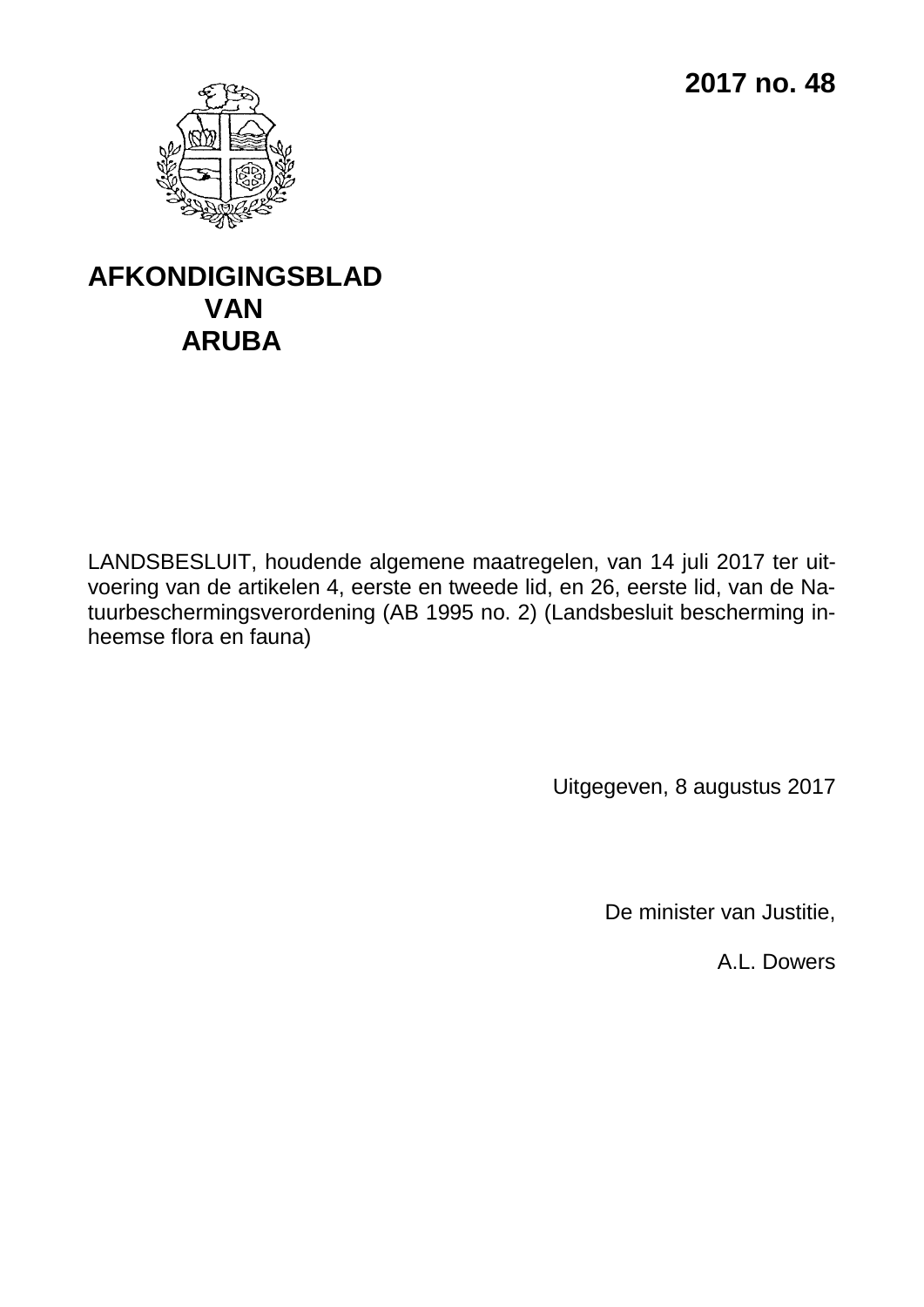**2017 no. 48**



## **AFKONDIGINGSBLAD VAN ARUBA**

LANDSBESLUIT, houdende algemene maatregelen, van 14 juli 2017 ter uitvoering van de artikelen 4, eerste en tweede lid, en 26, eerste lid, van de Natuurbeschermingsverordening (AB 1995 no. 2) (Landsbesluit bescherming inheemse flora en fauna)

Uitgegeven, 8 augustus 2017

De minister van Justitie,

A.L. Dowers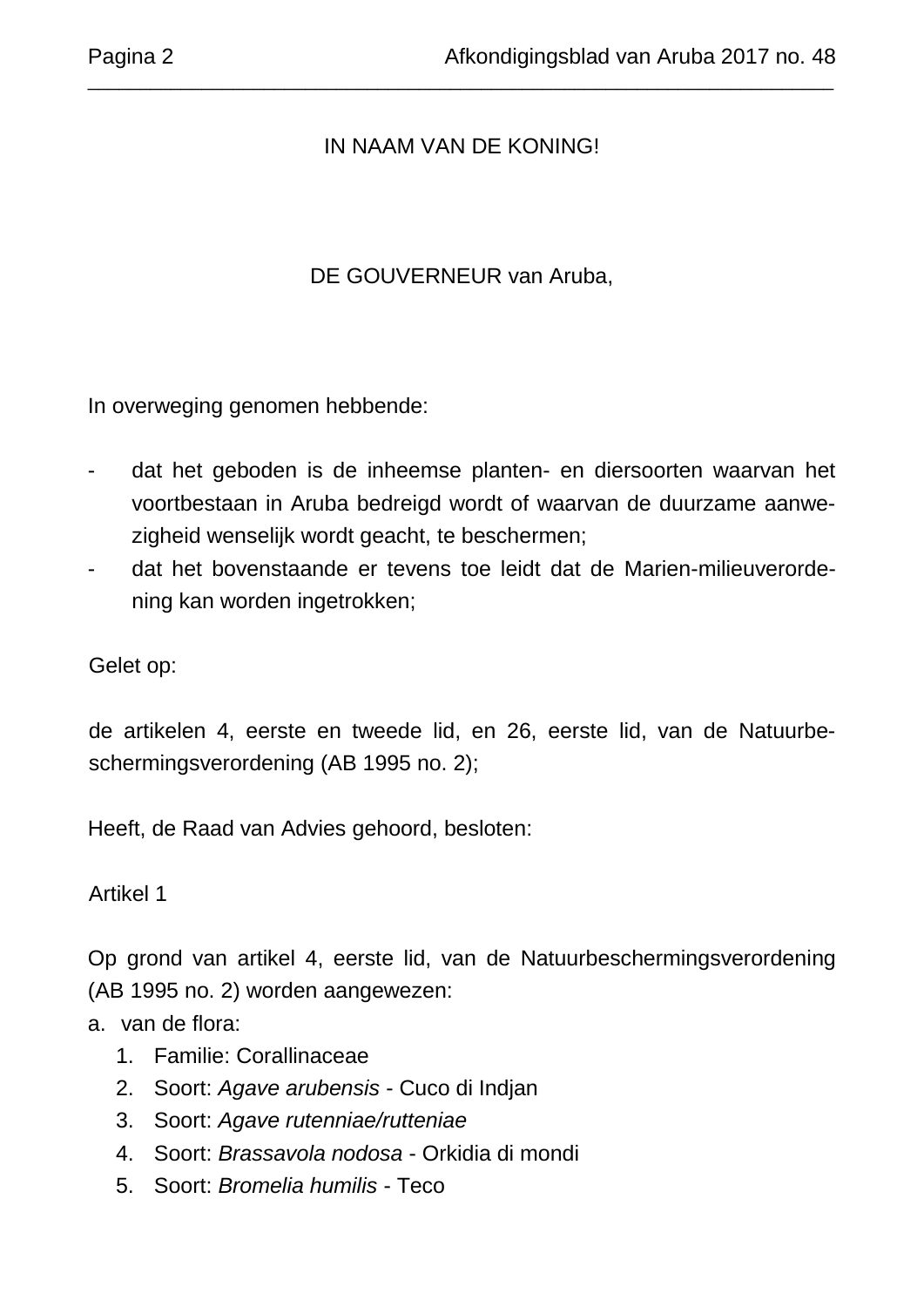## IN NAAM VAN DE KONING!

\_\_\_\_\_\_\_\_\_\_\_\_\_\_\_\_\_\_\_\_\_\_\_\_\_\_\_\_\_\_\_\_\_\_\_\_\_\_\_\_\_\_\_\_\_\_\_\_\_\_\_\_\_\_\_\_\_\_\_\_\_\_\_\_\_\_\_\_\_\_\_\_

## DE GOUVERNEUR van Aruba,

In overweging genomen hebbende:

- dat het geboden is de inheemse planten- en diersoorten waarvan het voortbestaan in Aruba bedreigd wordt of waarvan de duurzame aanwezigheid wenselijk wordt geacht, te beschermen;
- dat het bovenstaande er tevens toe leidt dat de Marien-milieuverordening kan worden ingetrokken;

Gelet op:

de artikelen 4, eerste en tweede lid, en 26, eerste lid, van de Natuurbeschermingsverordening (AB 1995 no. 2);

Heeft, de Raad van Advies gehoord, besloten:

Artikel 1

Op grond van artikel 4, eerste lid, van de Natuurbeschermingsverordening (AB 1995 no. 2) worden aangewezen:

a. van de flora:

- 1. Familie: Corallinaceae
- 2. Soort: *Agave arubensis* Cuco di Indjan
- 3. Soort: *Agave rutenniae/rutteniae*
- 4. Soort: *Brassavola nodosa* Orkidia di mondi
- 5. Soort: *Bromelia humilis* Teco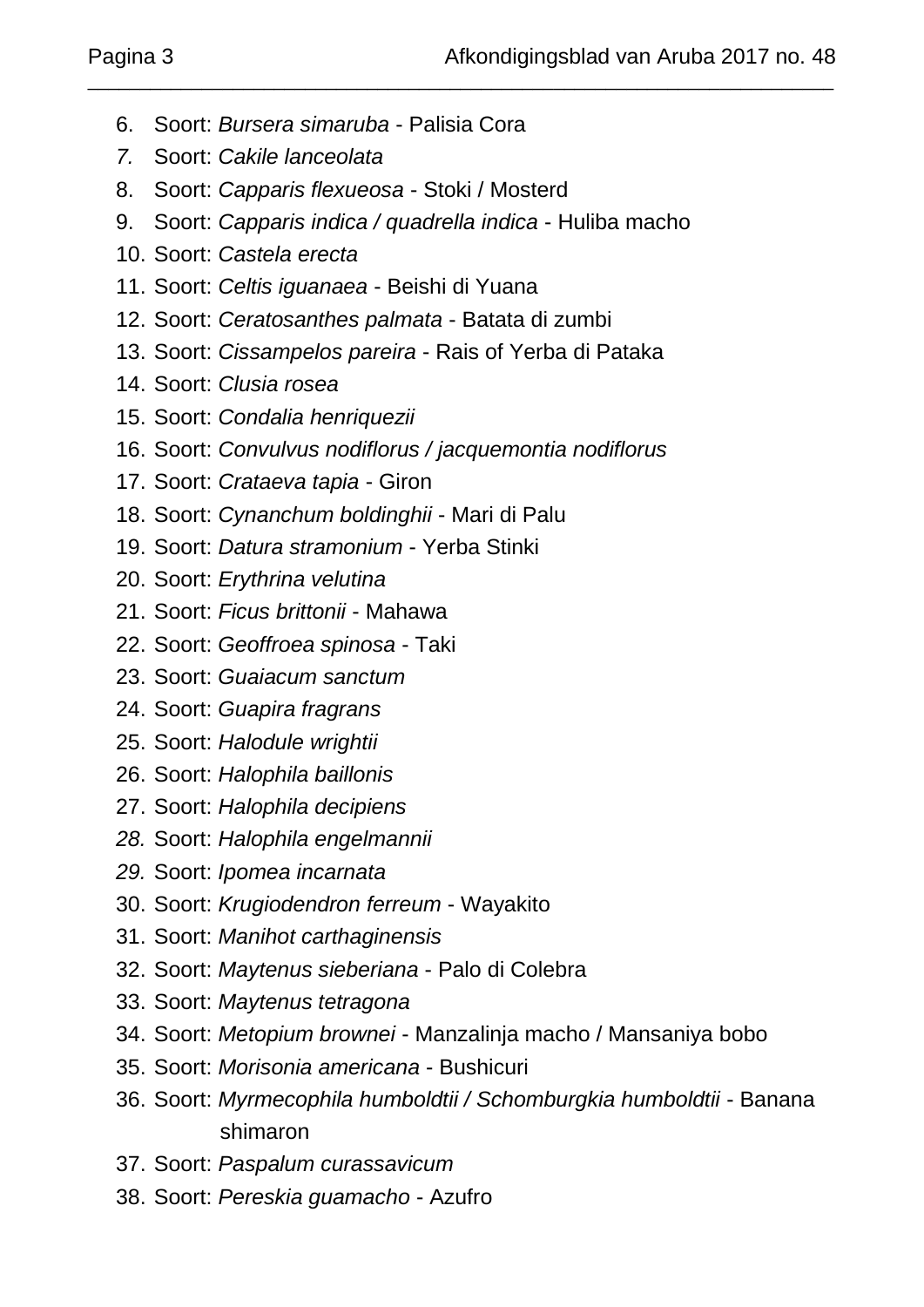- 6. Soort: *Bursera simaruba* Palisia Cora
- *7.* Soort: *Cakile lanceolata*
- 8. Soort: *Capparis flexueosa* Stoki / Mosterd
- 9. Soort: *Capparis indica / quadrella indica* Huliba macho

\_\_\_\_\_\_\_\_\_\_\_\_\_\_\_\_\_\_\_\_\_\_\_\_\_\_\_\_\_\_\_\_\_\_\_\_\_\_\_\_\_\_\_\_\_\_\_\_\_\_\_\_\_\_\_\_\_\_\_\_\_\_\_\_\_\_\_\_\_\_\_\_

- 10. Soort: *Castela erecta*
- 11. Soort: *Celtis iguanaea* Beishi di Yuana
- 12. Soort: *Ceratosanthes palmata* Batata di zumbi
- 13. Soort: *Cissampelos pareira* Rais of Yerba di Pataka
- 14. Soort: *Clusia rosea*
- 15. Soort: *Condalia henriquezii*
- 16. Soort: *Convulvus nodiflorus / jacquemontia nodiflorus*
- 17. Soort: *Crataeva tapia* Giron
- 18. Soort: *Cynanchum boldinghii* Mari di Palu
- 19. Soort: *Datura stramonium*  Yerba Stinki
- 20. Soort: *Erythrina velutina*
- 21. Soort: *Ficus brittonii* Mahawa
- 22. Soort: *Geoffroea spinosa* Taki
- 23. Soort: *Guaiacum sanctum*
- 24. Soort: *Guapira fragrans*
- 25. Soort: *Halodule wrightii*
- 26. Soort: *Halophila baillonis*
- 27. Soort: *Halophila decipiens*
- *28.* Soort: *Halophila engelmannii*
- *29.* Soort: *Ipomea incarnata*
- 30. Soort: *Krugiodendron ferreum* Wayakito
- 31. Soort: *Manihot carthaginensis*
- 32. Soort: *Maytenus sieberiana* Palo di Colebra
- 33. Soort: *Maytenus tetragona*
- 34. Soort: *Metopium brownei* Manzalinja macho / Mansaniya bobo
- 35. Soort: *Morisonia americana* Bushicuri
- 36. Soort: *Myrmecophila humboldtii / Schomburgkia humboldtii* Banana shimaron
- 37. Soort: *Paspalum curassavicum*
- 38. Soort: *Pereskia guamacho* Azufro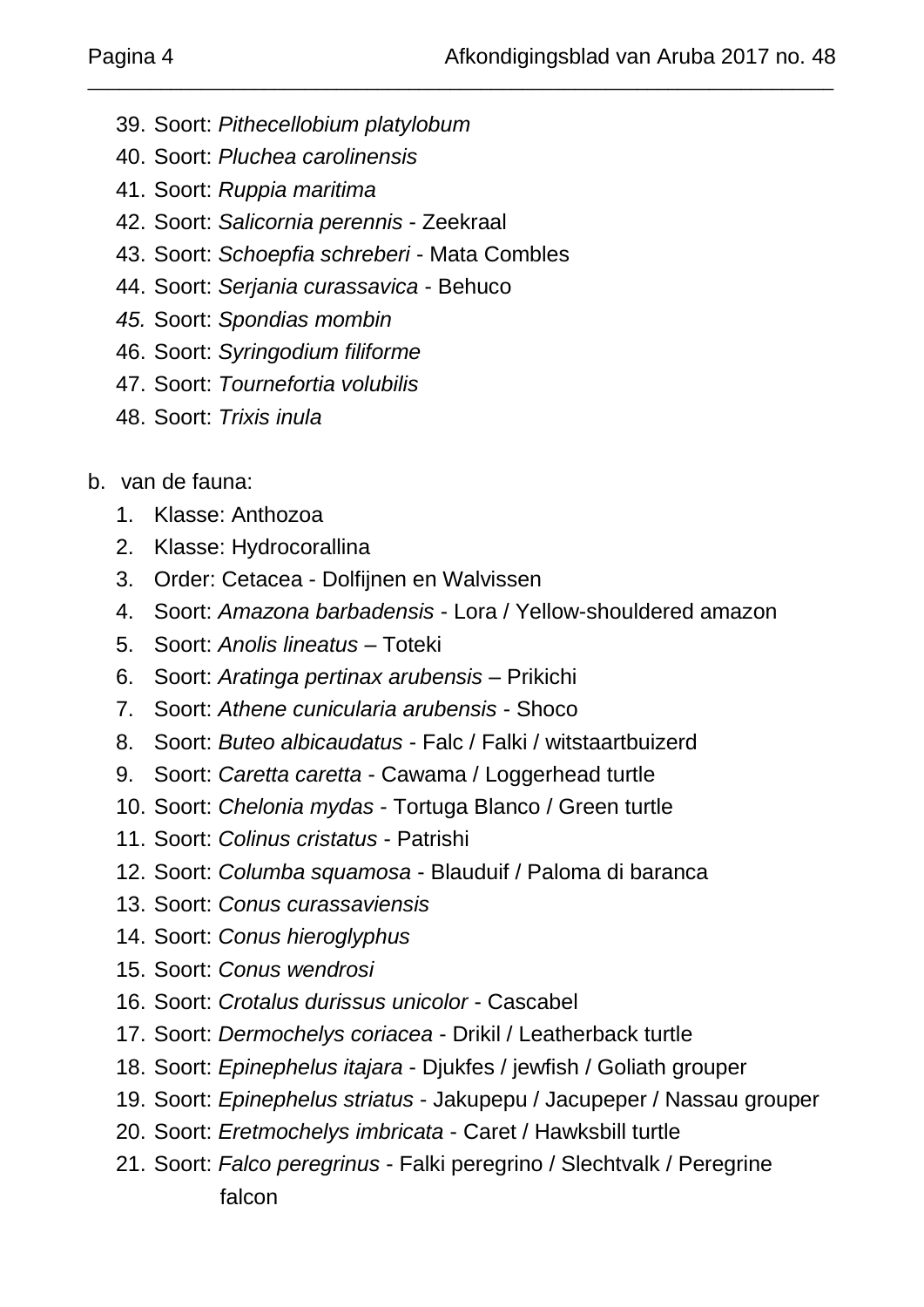- 39. Soort: *Pithecellobium platylobum*
- 40. Soort: *Pluchea carolinensis*
- 41. Soort: *Ruppia maritima*
- 42. Soort: *Salicornia perennis* Zeekraal
- 43. Soort: *Schoepfia schreberi* Mata Combles
- 44. Soort: *Serjania curassavica* Behuco
- *45.* Soort: *Spondias mombin*
- 46. Soort: *Syringodium filiforme*
- 47. Soort: *Tournefortia volubilis*
- 48. Soort: *Trixis inula*
- b. van de fauna:
	- 1. Klasse: Anthozoa
	- 2. Klasse: Hydrocorallina
	- 3. Order: Cetacea Dolfijnen en Walvissen
	- 4. Soort: *Amazona barbadensis* Lora / Yellow-shouldered amazon

\_\_\_\_\_\_\_\_\_\_\_\_\_\_\_\_\_\_\_\_\_\_\_\_\_\_\_\_\_\_\_\_\_\_\_\_\_\_\_\_\_\_\_\_\_\_\_\_\_\_\_\_\_\_\_\_\_\_\_\_\_\_\_\_\_\_\_\_\_\_\_\_

- 5. Soort: *Anolis lineatus* Toteki
- 6. Soort: *Aratinga pertinax arubensis* Prikichi
- 7. Soort: *Athene cunicularia arubensis* Shoco
- 8. Soort: *Buteo albicaudatus* Falc / Falki / witstaartbuizerd
- 9. Soort: *Caretta caretta* Cawama / Loggerhead turtle
- 10. Soort: *Chelonia mydas* Tortuga Blanco / Green turtle
- 11. Soort: *Colinus cristatus* Patrishi
- 12. Soort: *Columba squamosa* Blauduif / Paloma di baranca
- 13. Soort: *Conus curassaviensis*
- 14. Soort: *Conus hieroglyphus*
- 15. Soort: *Conus wendrosi*
- 16. Soort: *Crotalus durissus unicolor* Cascabel
- 17. Soort: *Dermochelys coriacea* Drikil / Leatherback turtle
- 18. Soort: *Epinephelus itajara* Djukfes / jewfish / Goliath grouper
- 19. Soort: *Epinephelus striatus* Jakupepu / Jacupeper / Nassau grouper
- 20. Soort: *Eretmochelys imbricata* Caret / Hawksbill turtle
- 21. Soort: *Falco peregrinus* Falki peregrino / Slechtvalk / Peregrine falcon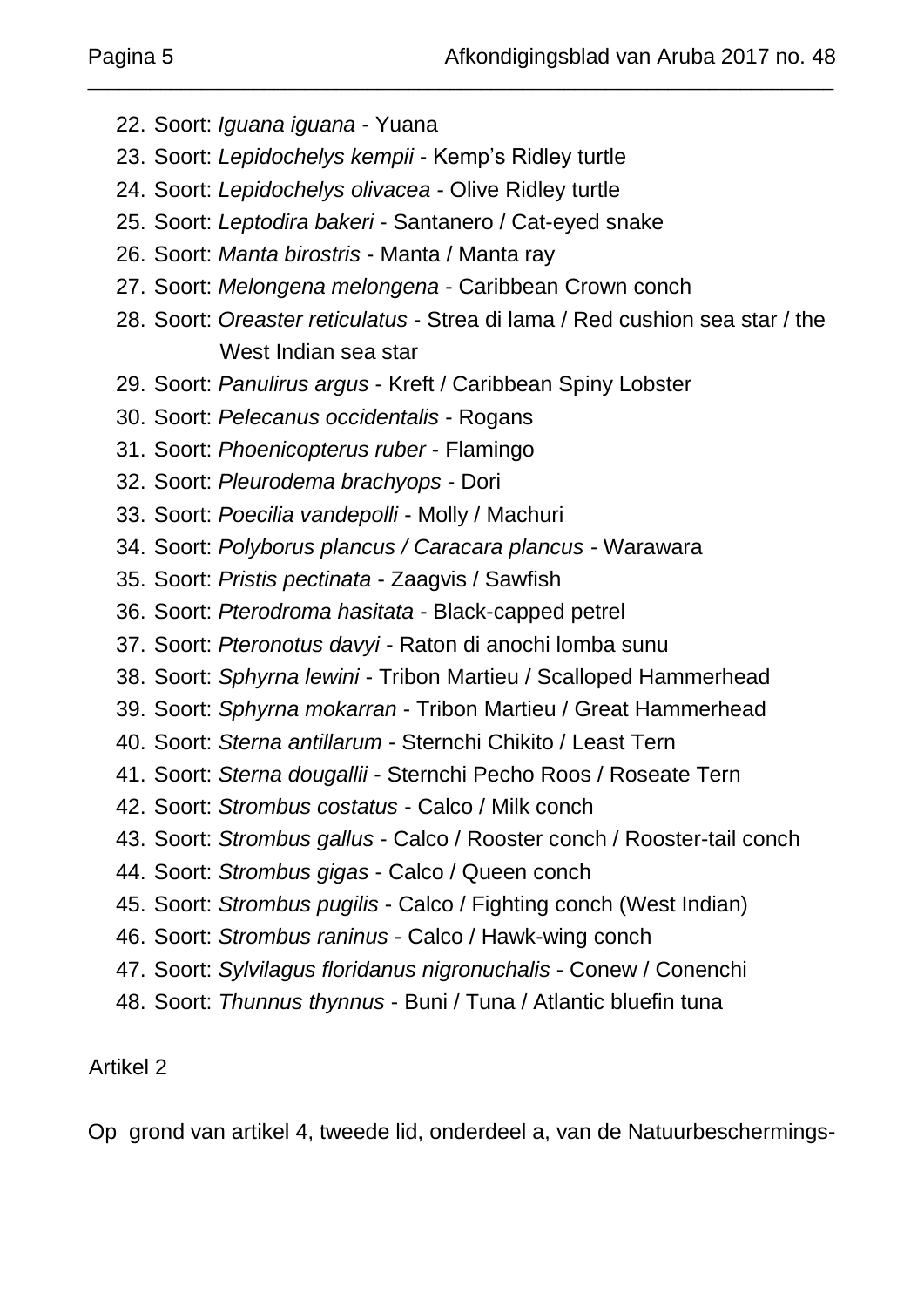- 22. Soort: *Iguana iguana* Yuana
- 23. Soort: *Lepidochelys kempii* Kemp's Ridley turtle
- 24. Soort: *Lepidochelys olivacea* Olive Ridley turtle
- 25. Soort: *Leptodira bakeri* Santanero / Cat-eyed snake
- 26. Soort: *Manta birostris* Manta / Manta ray
- 27. Soort: *Melongena melongena* Caribbean Crown conch
- 28. Soort: *Oreaster reticulatus* Strea di lama / Red cushion sea star / the West Indian sea star

\_\_\_\_\_\_\_\_\_\_\_\_\_\_\_\_\_\_\_\_\_\_\_\_\_\_\_\_\_\_\_\_\_\_\_\_\_\_\_\_\_\_\_\_\_\_\_\_\_\_\_\_\_\_\_\_\_\_\_\_\_\_\_\_\_\_\_\_\_\_\_\_

- 29. Soort: *Panulirus argus* Kreft / Caribbean Spiny Lobster
- 30. Soort: *Pelecanus occidentalis* Rogans
- 31. Soort: *Phoenicopterus ruber* Flamingo
- 32. Soort: *Pleurodema brachyops* Dori
- 33. Soort: *Poecilia vandepolli* Molly / Machuri
- 34. Soort: *Polyborus plancus / Caracara plancus* Warawara
- 35. Soort: *Pristis pectinata* Zaagvis / Sawfish
- 36. Soort: *Pterodroma hasitata* Black-capped petrel
- 37. Soort: *Pteronotus davyi* Raton di anochi lomba sunu
- 38. Soort: *Sphyrna lewini* Tribon Martieu / Scalloped Hammerhead
- 39. Soort: *Sphyrna mokarran* Tribon Martieu / Great Hammerhead
- 40. Soort: *Sterna antillarum* Sternchi Chikito / Least Tern
- 41. Soort: *Sterna dougallii* Sternchi Pecho Roos / Roseate Tern
- 42. Soort: *Strombus costatus* Calco / Milk conch
- 43. Soort: *Strombus gallus* Calco / Rooster conch / Rooster-tail conch
- 44. Soort: *Strombus gigas* Calco / Queen conch
- 45. Soort: *Strombus pugilis* Calco / Fighting conch (West Indian)
- 46. Soort: *Strombus raninus* Calco / Hawk-wing conch
- 47. Soort: *Sylvilagus floridanus nigronuchalis* Conew / Conenchi
- 48. Soort: *Thunnus thynnus* Buni / Tuna / Atlantic bluefin tuna

## Artikel 2

Op grond van artikel 4, tweede lid, onderdeel a, van de Natuurbeschermings-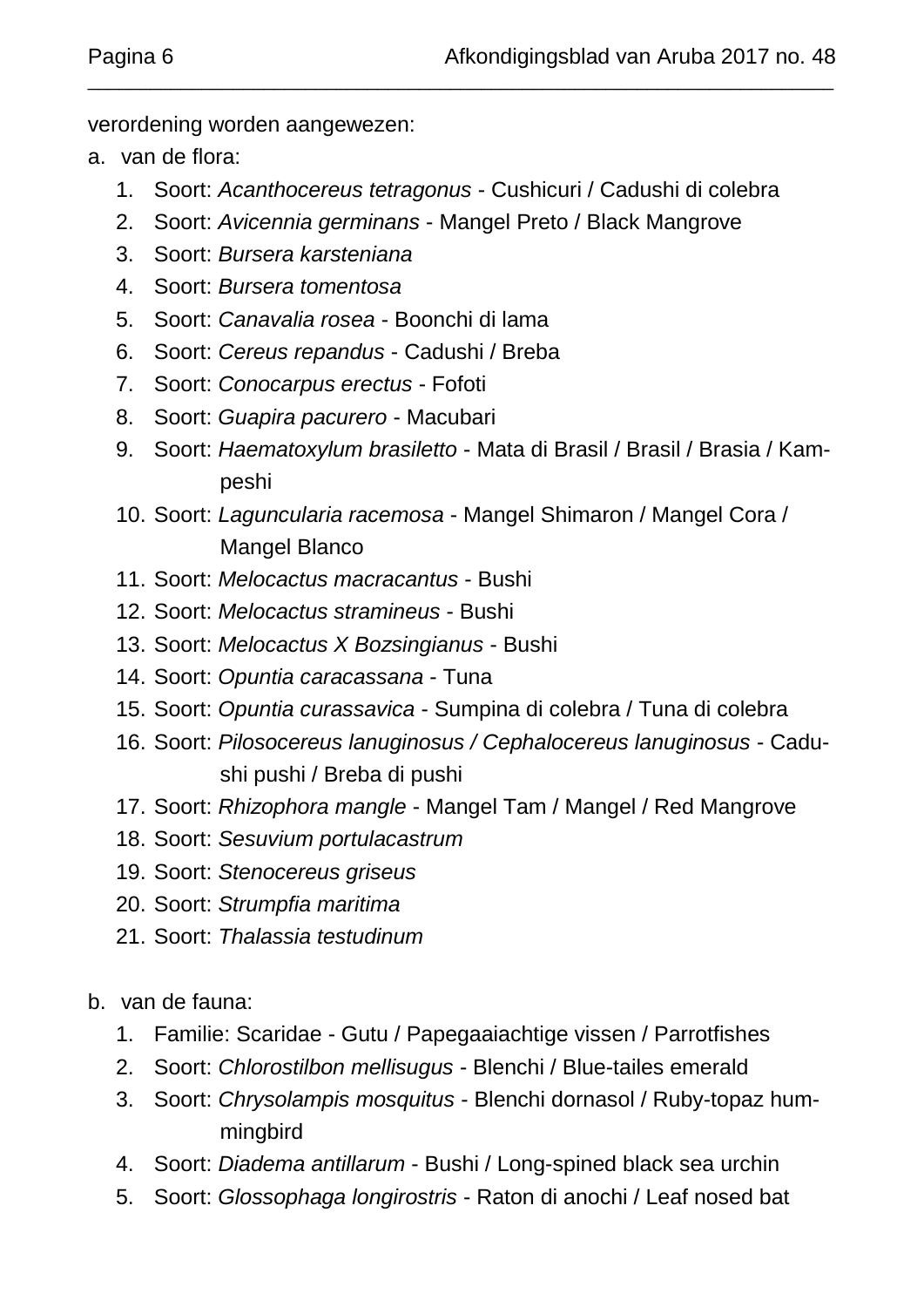verordening worden aangewezen:

- a. van de flora:
	- 1. Soort: *Acanthocereus tetragonus* Cushicuri / Cadushi di colebra

\_\_\_\_\_\_\_\_\_\_\_\_\_\_\_\_\_\_\_\_\_\_\_\_\_\_\_\_\_\_\_\_\_\_\_\_\_\_\_\_\_\_\_\_\_\_\_\_\_\_\_\_\_\_\_\_\_\_\_\_\_\_\_\_\_\_\_\_\_\_\_\_

- 2. Soort: *Avicennia germinans* Mangel Preto / Black Mangrove
- 3. Soort: *Bursera karsteniana*
- 4. Soort: *Bursera tomentosa*
- 5. Soort: *Canavalia rosea* Boonchi di lama
- 6. Soort: *Cereus repandus*  Cadushi / Breba
- 7. Soort: *Conocarpus erectus* Fofoti
- 8. Soort: *Guapira pacurero* Macubari
- 9. Soort: *Haematoxylum brasiletto* Mata di Brasil / Brasil / Brasia / Kampeshi
- 10. Soort: *Laguncularia racemosa* Mangel Shimaron / Mangel Cora / Mangel Blanco
- 11. Soort: *Melocactus macracantus* Bushi
- 12. Soort: *Melocactus stramineus* Bushi
- 13. Soort: *Melocactus X Bozsingianus* Bushi
- 14. Soort: *Opuntia caracassana* Tuna
- 15. Soort: *Opuntia curassavica* Sumpina di colebra / Tuna di colebra
- 16. Soort: *Pilosocereus lanuginosus / Cephalocereus lanuginosus* Cadushi pushi / Breba di pushi
- 17. Soort: *Rhizophora mangle* Mangel Tam / Mangel / Red Mangrove
- 18. Soort: *Sesuvium portulacastrum*
- 19. Soort: *Stenocereus griseus*
- 20. Soort: *Strumpfia maritima*
- 21. Soort: *Thalassia testudinum*
- b. van de fauna:
	- 1. Familie: Scaridae Gutu / Papegaaiachtige vissen / Parrotfishes
	- 2. Soort: *Chlorostilbon mellisugus* Blenchi / Blue-tailes emerald
	- 3. Soort: *Chrysolampis mosquitus* Blenchi dornasol / Ruby-topaz hummingbird
	- 4. Soort: *Diadema antillarum* Bushi / Long-spined black sea urchin
	- 5. Soort: *Glossophaga longirostris* Raton di anochi / Leaf nosed bat